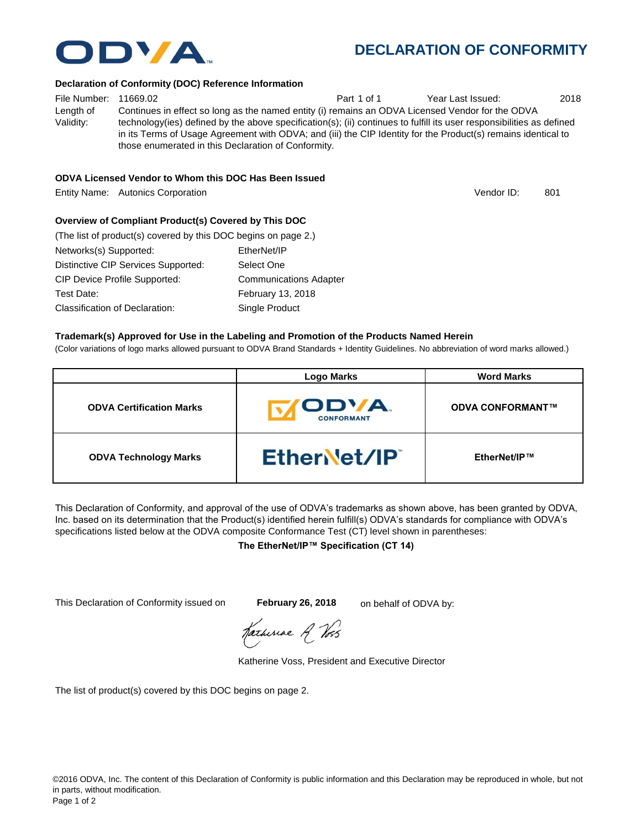# **DECLARATION OF CONFORMITY**

#### **Declaration of Conformity (DOC) Reference Information**

File Number: 11669.02 **Part 1 of 1** Year Last Issued: 2018 Length of Validity: Continues in effect so long as the named entity (i) remains an ODVA Licensed Vendor for the ODVA technology(ies) defined by the above specification(s); (ii) continues to fulfill its user responsibilities as defined in its Terms of Usage Agreement with ODVA; and (iii) the CIP Identity for the Product(s) remains identical to those enumerated in this Declaration of Conformity.

### **ODVA Licensed Vendor to Whom this DOC Has Been Issued**

Entity Name: Autonics Corporation 801 and the state of the state of the South Automatic Automatic Automatic Book

### **Overview of Compliant Product(s) Covered by This DOC**

| (The list of product(s) covered by this DOC begins on page 2.) |                               |
|----------------------------------------------------------------|-------------------------------|
| Networks(s) Supported:                                         | EtherNet/IP                   |
| Distinctive CIP Services Supported:                            | Select One                    |
| CIP Device Profile Supported:                                  | <b>Communications Adapter</b> |
| Test Date:                                                     | February 13, 2018             |
| Classification of Declaration:                                 | Single Product                |

#### **Trademark(s) Approved for Use in the Labeling and Promotion of the Products Named Herein**

(Color variations of logo marks allowed pursuant to ODVA Brand Standards + Identity Guidelines. No abbreviation of word marks allowed.)

|                                 | <b>Logo Marks</b>                | <b>Word Marks</b>       |
|---------------------------------|----------------------------------|-------------------------|
| <b>ODVA Certification Marks</b> | <b>ODVA</b><br><b>CONFORMANT</b> | <b>ODVA CONFORMANT™</b> |
| <b>ODVA Technology Marks</b>    | EtherNet/IP®                     | EtherNet/IP™            |

This Declaration of Conformity, and approval of the use of ODVA's trademarks as shown above, has been granted by ODVA, Inc. based on its determination that the Product(s) identified herein fulfill(s) ODVA's standards for compliance with ODVA's specifications listed below at the ODVA composite Conformance Test (CT) level shown in parentheses:

#### **The EtherNet/IP™ Specification (CT 14)**

This Declaration of Conformity issued on **February 26, 2018** on behalf of ODVA by:

Katheriae R Voss

Katherine Voss, President and Executive Director

The list of product(s) covered by this DOC begins on page 2.



Vendor ID: